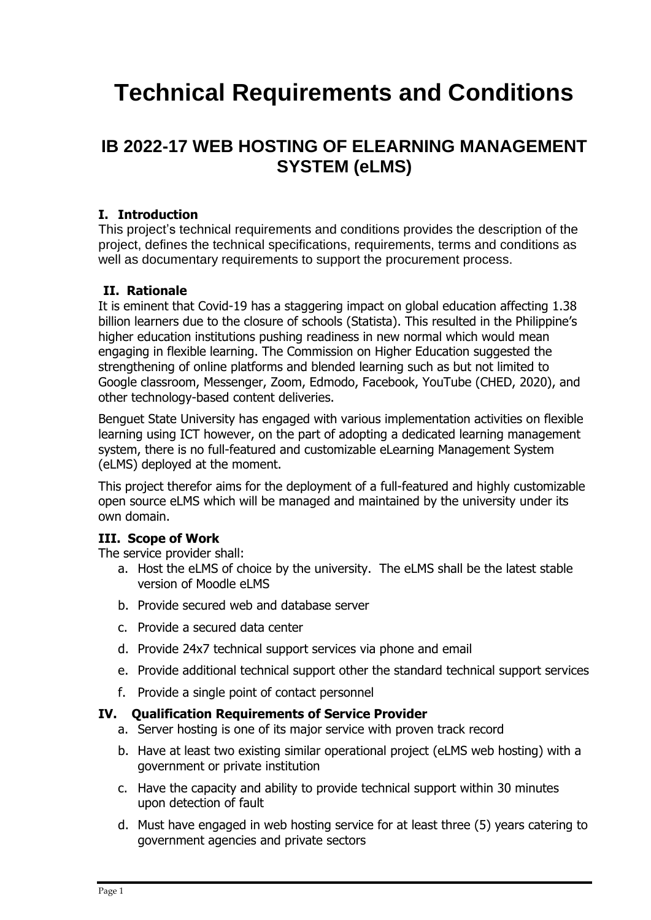# **Technical Requirements and Conditions**

## **IB 2022-17 WEB HOSTING OF ELEARNING MANAGEMENT SYSTEM (eLMS)**

#### **I. Introduction**

This project's technical requirements and conditions provides the description of the project, defines the technical specifications, requirements, terms and conditions as well as documentary requirements to support the procurement process.

#### **II. Rationale**

It is eminent that Covid-19 has a staggering impact on global education affecting 1.38 billion learners due to the closure of schools (Statista). This resulted in the Philippine's higher education institutions pushing readiness in new normal which would mean engaging in flexible learning. The Commission on Higher Education suggested the strengthening of online platforms and blended learning such as but not limited to Google classroom, Messenger, Zoom, Edmodo, Facebook, YouTube (CHED, 2020), and other technology-based content deliveries.

Benguet State University has engaged with various implementation activities on flexible learning using ICT however, on the part of adopting a dedicated learning management system, there is no full-featured and customizable eLearning Management System (eLMS) deployed at the moment.

This project therefor aims for the deployment of a full-featured and highly customizable open source eLMS which will be managed and maintained by the university under its own domain.

#### **III. Scope of Work**

The service provider shall:

- a. Host the eLMS of choice by the university. The eLMS shall be the latest stable version of Moodle eLMS
- b. Provide secured web and database server
- c. Provide a secured data center
- d. Provide 24x7 technical support services via phone and email
- e. Provide additional technical support other the standard technical support services
- f. Provide a single point of contact personnel

#### **IV. Qualification Requirements of Service Provider**

- a. Server hosting is one of its major service with proven track record
- b. Have at least two existing similar operational project (eLMS web hosting) with a government or private institution
- c. Have the capacity and ability to provide technical support within 30 minutes upon detection of fault
- d. Must have engaged in web hosting service for at least three (5) years catering to government agencies and private sectors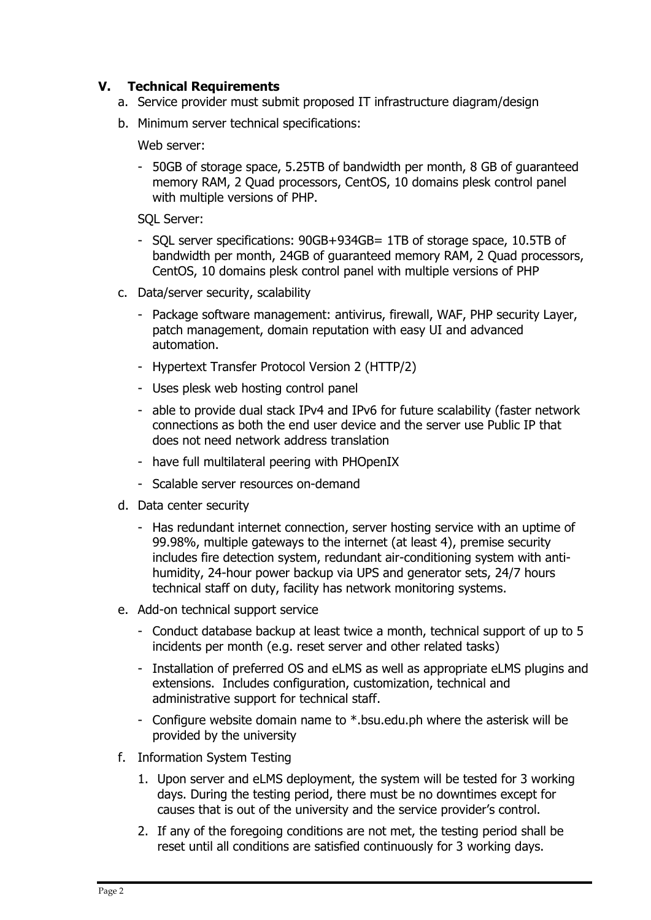#### **V. Technical Requirements**

- a. Service provider must submit proposed IT infrastructure diagram/design
- b. Minimum server technical specifications:

Web server:

- 50GB of storage space, 5.25TB of bandwidth per month, 8 GB of guaranteed memory RAM, 2 Quad processors, CentOS, 10 domains plesk control panel with multiple versions of PHP.

SQL Server:

- SQL server specifications: 90GB+934GB= 1TB of storage space, 10.5TB of bandwidth per month, 24GB of guaranteed memory RAM, 2 Quad processors, CentOS, 10 domains plesk control panel with multiple versions of PHP
- c. Data/server security, scalability
	- Package software management: antivirus, firewall, WAF, PHP security Layer, patch management, domain reputation with easy UI and advanced automation.
	- [Hypertext Transfer Protocol Version 2 \(HTTP/2\)](https://httpwg.org/specs/rfc7540.html)
	- Uses plesk web hosting control panel
	- able to provide dual stack IPv4 and IPv6 for future scalability (faster network connections as both the end user device and the server use Public IP that does not need network address translation
	- have full multilateral peering with PHOpenIX
	- Scalable server resources on-demand
- d. Data center security
	- Has redundant internet connection, server hosting service with an uptime of 99.98%, multiple gateways to the internet (at least 4), premise security includes fire detection system, redundant air-conditioning system with antihumidity, 24-hour power backup via UPS and generator sets, 24/7 hours technical staff on duty, facility has network monitoring systems.
- e. Add-on technical support service
	- Conduct database backup at least twice a month, technical support of up to 5 incidents per month (e.g. reset server and other related tasks)
	- Installation of preferred OS and eLMS as well as appropriate eLMS plugins and extensions. Includes configuration, customization, technical and administrative support for technical staff.
	- Configure website domain name to \*.bsu.edu.ph where the asterisk will be provided by the university
- f. Information System Testing
	- 1. Upon server and eLMS deployment, the system will be tested for 3 working days. During the testing period, there must be no downtimes except for causes that is out of the university and the service provider's control.
	- 2. If any of the foregoing conditions are not met, the testing period shall be reset until all conditions are satisfied continuously for 3 working days.